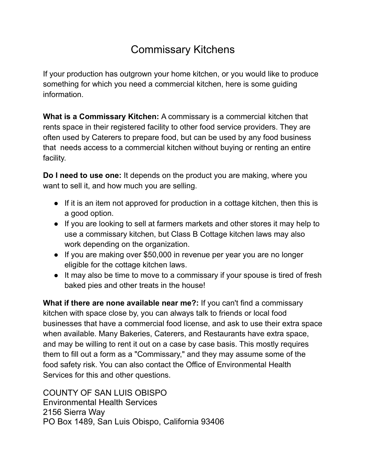# Commissary Kitchens

If your production has outgrown your home kitchen, or you would like to produce something for which you need a commercial kitchen, here is some guiding information.

**What is a Commissary Kitchen:** A commissary is a commercial kitchen that rents space in their registered facility to other food service providers. They are often used by Caterers to prepare food, but can be used by any food business that needs access to a commercial kitchen without buying or renting an entire facility.

**Do I need to use one:** It depends on the product you are making, where you want to sell it, and how much you are selling.

- If it is an item not approved for production in a cottage kitchen, then this is a good option.
- If you are looking to sell at farmers markets and other stores it may help to use a commissary kitchen, but Class B Cottage kitchen laws may also work depending on the organization.
- If you are making over \$50,000 in revenue per year you are no longer eligible for the cottage kitchen laws.
- It may also be time to move to a commissary if your spouse is tired of fresh baked pies and other treats in the house!

**What if there are none available near me?:** If you can't find a commissary kitchen with space close by, you can always talk to friends or local food businesses that have a commercial food license, and ask to use their extra space when available. Many Bakeries, Caterers, and Restaurants have extra space, and may be willing to rent it out on a case by case basis. This mostly requires them to fill out a form as a "Commissary," and they may assume some of the food safety risk. You can also contact the Office of Environmental Health Services for this and other questions.

COUNTY OF SAN LUIS OBISPO Environmental Health Services 2156 Sierra Way PO Box 1489, San Luis Obispo, California 93406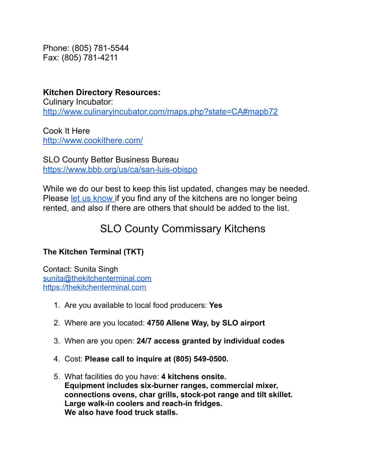Phone: (805) 781-5544 Fax: (805) 781-4211

**Kitchen Directory Resources:** Culinary Incubator: <http://www.culinaryincubator.com/maps.php?state=CA#mapb72>

Cook It Here <http://www.cookithere.com/>

SLO County Better Business Bureau <https://www.bbb.org/us/ca/san-luis-obispo>

While we do our best to keep this list updated, changes may be needed. Please let us [know](mailto:info@slowmoneyslo.org) if you find any of the kitchens are no longer being rented, and also if there are others that should be added to the list.

# SLO County Commissary Kitchens

## **The Kitchen Terminal (TKT)**

Contact: Sunita Singh [sunita@thekitchenterminal.com](mailto:sunita@thekitchenterminal.com) <https://thekitchenterminal.com>

- 1. Are you available to local food producers: **Yes**
- 2. Where are you located: **4750 Allene Way, by SLO airport**
- 3. When are you open: **24/7 access granted by individual codes**
- 4. Cost: **Please call to inquire at (805) 549-0500.**
- 5. What facilities do you have: **4 kitchens onsite. Equipment includes six-burner ranges, commercial mixer, connections ovens, char grills, stock-pot range and tilt skillet. Large walk-in coolers and reach-in fridges. We also have food truck stalls.**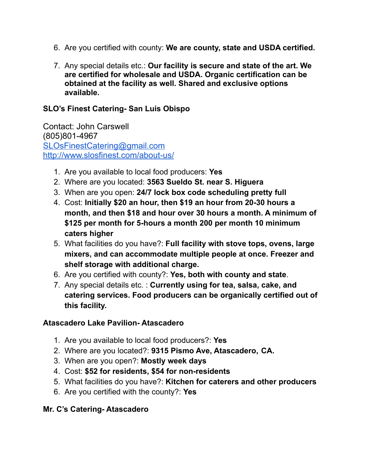- 6. Are you certified with county: **We are county, state and USDA certified.**
- 7. Any special details etc.: **Our facility is secure and state of the art. We are certified for wholesale and USDA. Organic certification can be obtained at the facility as well. Shared and exclusive options available.**

#### **SLO's Finest Catering- San Luis Obispo**

Contact: John Carswell (805)801-4967 [SLOsFinestCatering@gmail.com](mailto:SLOsFinestCatering@gmail.com) <http://www.slosfinest.com/about-us/>

- 1. Are you available to local food producers: **Yes**
- 2. Where are you located: **3563 Sueldo St. near S. Higuera**
- 3. When are you open: **24/7 lock box code scheduling pretty full**
- 4. Cost: **Initially \$20 an hour, then \$19 an hour from 20-30 hours a month, and then \$18 and hour over 30 hours a month. A minimum of \$125 per month for 5-hours a month 200 per month 10 minimum caters higher**
- 5. What facilities do you have?: **Full facility with stove tops, ovens, large mixers, and can accommodate multiple people at once. Freezer and shelf storage with additional charge.**
- 6. Are you certified with county?: **Yes, both with county and state**.
- 7. Any special details etc. : **Currently using for tea, salsa, cake, and catering services. Food producers can be organically certified out of this facility.**

#### **Atascadero Lake Pavilion- Atascadero**

- 1. Are you available to local food producers?: **Yes**
- 2. Where are you located?: **9315 Pismo Ave, Atascadero, CA.**
- 3. When are you open?: **Mostly week days**
- 4. Cost: **\$52 for residents, \$54 for non-residents**
- 5. What facilities do you have?: **Kitchen for caterers and other producers**
- 6. Are you certified with the county?: **Yes**

#### **Mr. C's Catering- Atascadero**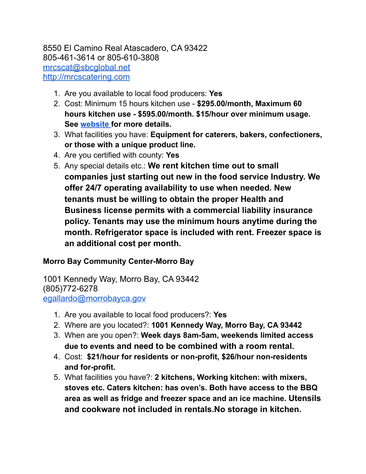## 8550 El Camino Real Atascadero, CA 93422 805-461-3614 or 805-610-3808 [mrcscat@sbcglobal.net](mailto:mrcscat@sbcglobal.net) <http://mrcscatering.com>

- 1. Are you available to local food producers: **Yes**
- 2. Cost: Minimum 15 hours kitchen use **\$295.00/month, Maximum 60 hours kitchen use - \$595.00/month. \$15/hour over minimum usage. See [website](http://mrcscatering.com/KitchenRental/Atascadero/Rates/) for more details.**
- 3. What facilities you have: **Equipment for caterers, bakers, confectioners, or those with a unique product line.**
- 4. Are you certified with county: **Yes**
- 5. Any special details etc.: **We rent kitchen time out to small companies just starting out new in the food service Industry. We offer 24/7 operating availability to use when needed. New tenants must be willing to obtain the proper Health and Business license permits with a commercial liability insurance policy. Tenants may use the minimum hours anytime during the month. Refrigerator space is included with rent. Freezer space is an additional cost per month.**

#### **Morro Bay Community Center-Morro Bay**

1001 Kennedy Way, Morro Bay, CA 93442 (805)772-6278 [egallardo@morrobayca.gov](mailto:egallardo@morrobayca.gov)

- 1. Are you available to local food producers?: **Yes**
- 2. Where are you located?: **1001 Kennedy Way, Morro Bay, CA 93442**
- 3. When are you open?: **Week days 8am-5am, weekends limited access due to events and need to be combined with a room rental.**
- 4. Cost: **\$21/hour for residents or non-profit, \$26/hour non-residents and for-profit.**
- 5. What facilities you have?: **2 kitchens, Working kitchen: with mixers, stoves etc. Caters kitchen: has oven's. Both have access to the BBQ area as well as fridge and freezer space and an ice machine. Utensils and cookware not included in rentals.No storage in kitchen.**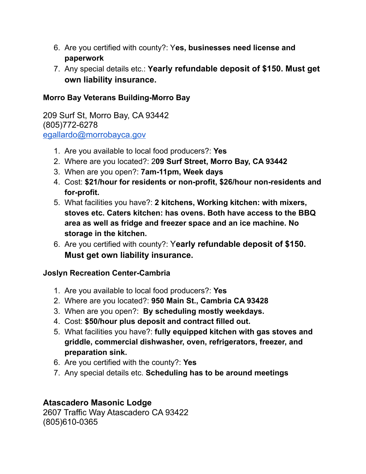- 6. Are you certified with county?: Y**es, businesses need license and paperwork**
- 7. Any special details etc.: **Yearly refundable deposit of \$150. Must get own liability insurance.**

### **Morro Bay Veterans Building-Morro Bay**

209 Surf St, Morro Bay, CA 93442 (805)772-6278 [egallardo@morrobayca.gov](mailto:egallardo@morrobayca.gov)

- 1. Are you available to local food producers?: **Yes**
- 2. Where are you located?: 2**09 Surf Street, Morro Bay, CA 93442**
- 3. When are you open?: **7am-11pm, Week days**
- 4. Cost: **\$21/hour for residents or non-profit, \$26/hour non-residents and for-profit.**
- 5. What facilities you have?: **2 kitchens, Working kitchen: with mixers, stoves etc. Caters kitchen: has ovens. Both have access to the BBQ area as well as fridge and freezer space and an ice machine. No storage in the kitchen.**
- 6. Are you certified with county?: Y**early refundable deposit of \$150. Must get own liability insurance.**

#### **Joslyn Recreation Center-Cambria**

- 1. Are you available to local food producers?: **Yes**
- 2. Where are you located?: **950 Main St., Cambria CA 93428**
- 3. When are you open?: **By scheduling mostly weekdays.**
- 4. Cost: **\$50/hour plus deposit and contract filled out.**
- 5. What facilities you have?: **fully equipped kitchen with gas stoves and griddle, commercial dishwasher, oven, refrigerators, freezer, and preparation sink.**
- 6. Are you certified with the county?: **Yes**
- 7. Any special details etc. **Scheduling has to be around meetings**

## **Atascadero Masonic Lodge**

2607 Traffic Way Atascadero CA 93422 (805)610-0365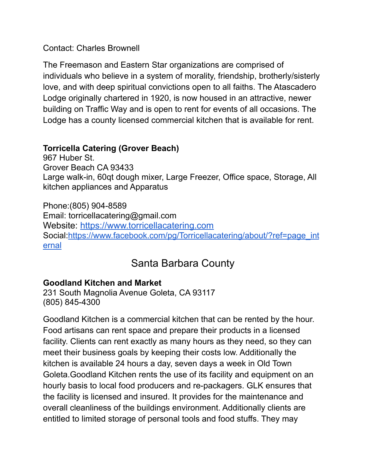Contact: Charles Brownell

The Freemason and Eastern Star organizations are comprised of individuals who believe in a system of morality, friendship, brotherly/sisterly love, and with deep spiritual convictions open to all faiths. The Atascadero Lodge originally chartered in 1920, is now housed in an attractive, newer building on Traffic Way and is open to rent for events of all occasions. The Lodge has a county licensed commercial kitchen that is available for rent.

## **Torricella Catering (Grover Beach)**

967 Huber St. Grover Beach CA 93433 Large walk-in, 60qt dough mixer, Large Freezer, Office space, Storage, All kitchen appliances and Apparatus

Phone:(805) 904-8589 Email: torricellacatering@gmail.com Website: <https://www.torricellacatering.com> Social:[https://www.facebook.com/pg/Torricellacatering/about/?ref=page\\_int](https://www.facebook.com/pg/Torricellacatering/about/?ref=page_internal) [ernal](https://www.facebook.com/pg/Torricellacatering/about/?ref=page_internal)

## Santa Barbara County

## **Goodland Kitchen and Market**

231 South Magnolia Avenue Goleta, CA 93117 (805) 845-4300

Goodland Kitchen is a commercial kitchen that can be rented by the hour. Food artisans can rent space and prepare their products in a licensed facility. Clients can rent exactly as many hours as they need, so they can meet their business goals by keeping their costs low. Additionally the kitchen is available 24 hours a day, seven days a week in Old Town Goleta.Goodland Kitchen rents the use of its facility and equipment on an hourly basis to local food producers and re-packagers. GLK ensures that the facility is licensed and insured. It provides for the maintenance and overall cleanliness of the buildings environment. Additionally clients are entitled to limited storage of personal tools and food stuffs. They may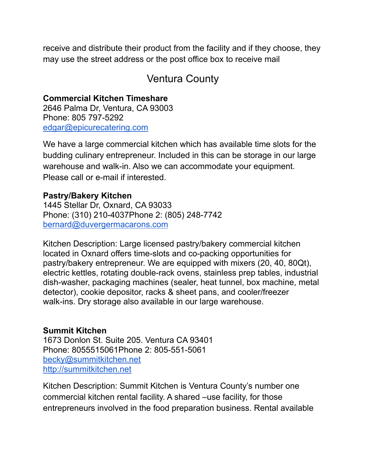receive and distribute their product from the facility and if they choose, they may use the street address or the post office box to receive mail

## Ventura County

**Commercial Kitchen Timeshare** 2646 Palma Dr, Ventura, CA 93003 Phone: 805 797-5292 [edgar@epicurecatering.com](mailto:edgar@epicurecatering.com)

We have a large commercial kitchen which has available time slots for the budding culinary entrepreneur. Included in this can be storage in our large warehouse and walk-in. Also we can accommodate your equipment. Please call or e-mail if interested.

## **Pastry/Bakery Kitchen**

1445 Stellar Dr, Oxnard, CA 93033 Phone: (310) 210-4037Phone 2: (805) 248-7742 [bernard@duvergermacarons.com](mailto:bernard@duvergermacarons.com)

Kitchen Description: Large licensed pastry/bakery commercial kitchen located in Oxnard offers time-slots and co-packing opportunities for pastry/bakery entrepreneur. We are equipped with mixers (20, 40, 80Qt), electric kettles, rotating double-rack ovens, stainless prep tables, industrial dish-washer, packaging machines (sealer, heat tunnel, box machine, metal detector), cookie depositor, racks & sheet pans, and cooler/freezer walk-ins. Dry storage also available in our large warehouse.

## **Summit Kitchen**

1673 Donlon St. Suite 205. Ventura CA 93401 Phone: 8055515061Phone 2: 805-551-5061 [becky@summitkitchen.net](mailto:becky@summitkitchen.net) <http://summitkitchen.net>

Kitchen Description: Summit Kitchen is Ventura County's number one commercial kitchen rental facility. A shared –use facility, for those entrepreneurs involved in the food preparation business. Rental available